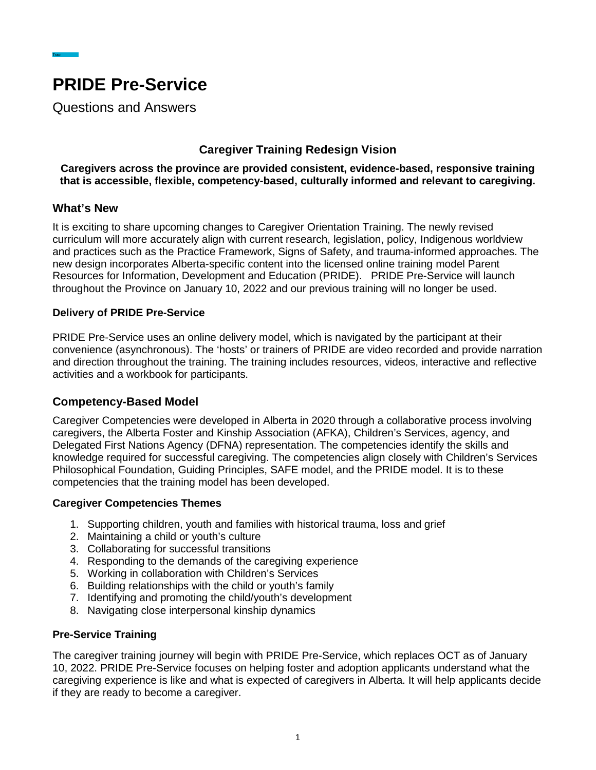

Questions and Answers

## **Caregiver Training Redesign Vision**

**Caregivers across the province are provided consistent, evidence-based, responsive training that is accessible, flexible, competency-based, culturally informed and relevant to caregiving.**

### **What's New**

Trao

It is exciting to share upcoming changes to Caregiver Orientation Training. The newly revised curriculum will more accurately align with current research, legislation, policy, Indigenous worldview and practices such as the Practice Framework, Signs of Safety, and trauma-informed approaches. The new design incorporates Alberta-specific content into the licensed online training model Parent Resources for Information, Development and Education (PRIDE). PRIDE Pre-Service will launch throughout the Province on January 10, 2022 and our previous training will no longer be used.

### **Delivery of PRIDE Pre-Service**

PRIDE Pre-Service uses an online delivery model, which is navigated by the participant at their convenience (asynchronous). The 'hosts' or trainers of PRIDE are video recorded and provide narration and direction throughout the training. The training includes resources, videos, interactive and reflective activities and a workbook for participants.

### **Competency-Based Model**

Caregiver Competencies were developed in Alberta in 2020 through a collaborative process involving caregivers, the Alberta Foster and Kinship Association (AFKA), Children's Services, agency, and Delegated First Nations Agency (DFNA) representation. The competencies identify the skills and knowledge required for successful caregiving. The competencies align closely with Children's Services Philosophical Foundation, Guiding Principles, SAFE model, and the PRIDE model. It is to these competencies that the training model has been developed.

### **Caregiver Competencies Themes**

- 1. Supporting children, youth and families with historical trauma, loss and grief
- 2. Maintaining a child or youth's culture
- 3. Collaborating for successful transitions
- 4. Responding to the demands of the caregiving experience
- 5. Working in collaboration with Children's Services
- 6. Building relationships with the child or youth's family
- 7. Identifying and promoting the child/youth's development
- 8. Navigating close interpersonal kinship dynamics

## **Pre-Service Training**

The caregiver training journey will begin with PRIDE Pre-Service, which replaces OCT as of January 10, 2022. PRIDE Pre-Service focuses on helping foster and adoption applicants understand what the caregiving experience is like and what is expected of caregivers in Alberta. It will help applicants decide if they are ready to become a caregiver.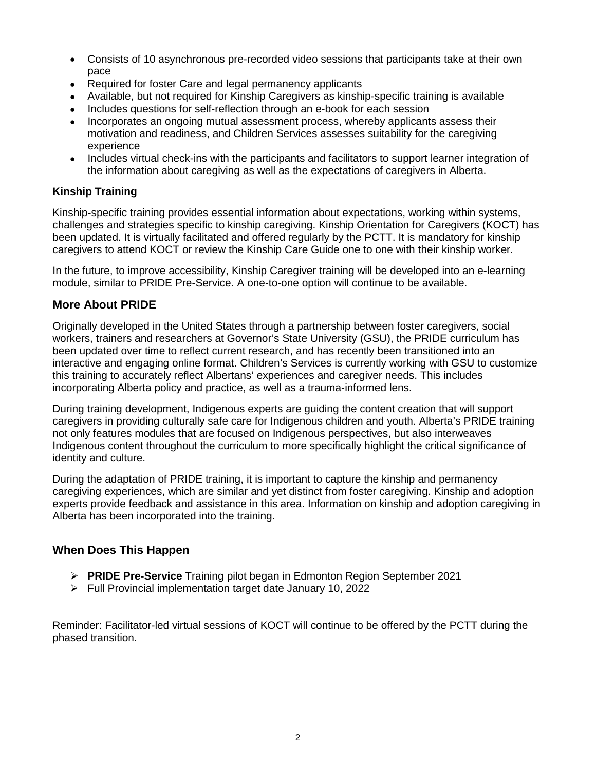- Consists of 10 asynchronous pre-recorded video sessions that participants take at their own pace
- Required for foster Care and legal permanency applicants
- Available, but not required for Kinship Caregivers as kinship-specific training is available
- Includes questions for self-reflection through an e-book for each session
- Incorporates an ongoing mutual assessment process, whereby applicants assess their motivation and readiness, and Children Services assesses suitability for the caregiving experience
- Includes virtual check-ins with the participants and facilitators to support learner integration of the information about caregiving as well as the expectations of caregivers in Alberta.

### **Kinship Training**

Kinship-specific training provides essential information about expectations, working within systems, challenges and strategies specific to kinship caregiving. Kinship Orientation for Caregivers (KOCT) has been updated. It is virtually facilitated and offered regularly by the PCTT. It is mandatory for kinship caregivers to attend KOCT or review the Kinship Care Guide one to one with their kinship worker.

In the future, to improve accessibility, Kinship Caregiver training will be developed into an e-learning module, similar to PRIDE Pre-Service. A one-to-one option will continue to be available.

## **More About PRIDE**

Originally developed in the United States through a partnership between foster caregivers, social workers, trainers and researchers at Governor's State University (GSU), the PRIDE curriculum has been updated over time to reflect current research, and has recently been transitioned into an interactive and engaging online format. Children's Services is currently working with GSU to customize this training to accurately reflect Albertans' experiences and caregiver needs. This includes incorporating Alberta policy and practice, as well as a trauma-informed lens.

During training development, Indigenous experts are guiding the content creation that will support caregivers in providing culturally safe care for Indigenous children and youth. Alberta's PRIDE training not only features modules that are focused on Indigenous perspectives, but also interweaves Indigenous content throughout the curriculum to more specifically highlight the critical significance of identity and culture.

During the adaptation of PRIDE training, it is important to capture the kinship and permanency caregiving experiences, which are similar and yet distinct from foster caregiving. Kinship and adoption experts provide feedback and assistance in this area. Information on kinship and adoption caregiving in Alberta has been incorporated into the training.

## **When Does This Happen**

- **PRIDE Pre-Service** Training pilot began in Edmonton Region September 2021
- $\triangleright$  Full Provincial implementation target date January 10, 2022

Reminder: Facilitator-led virtual sessions of KOCT will continue to be offered by the PCTT during the phased transition.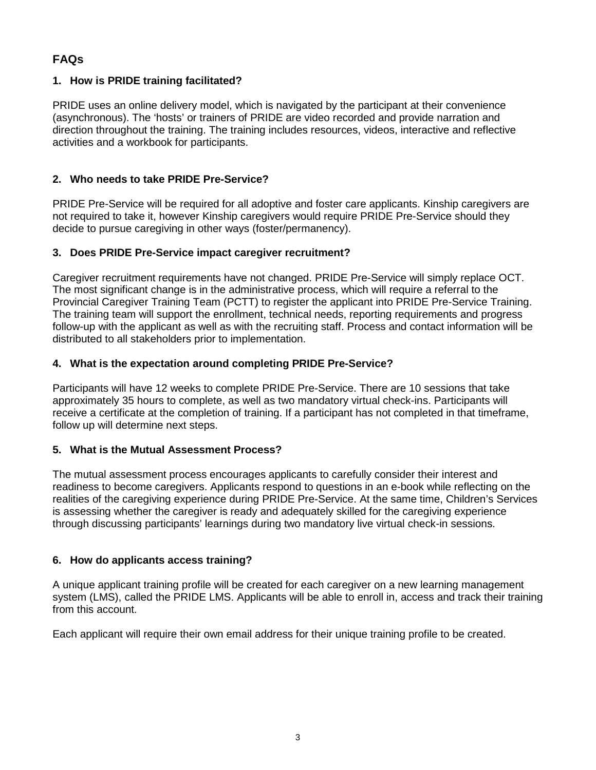# **FAQs**

## **1. How is PRIDE training facilitated?**

PRIDE uses an online delivery model, which is navigated by the participant at their convenience (asynchronous). The 'hosts' or trainers of PRIDE are video recorded and provide narration and direction throughout the training. The training includes resources, videos, interactive and reflective activities and a workbook for participants.

## **2. Who needs to take PRIDE Pre-Service?**

PRIDE Pre-Service will be required for all adoptive and foster care applicants. Kinship caregivers are not required to take it, however Kinship caregivers would require PRIDE Pre-Service should they decide to pursue caregiving in other ways (foster/permanency).

## **3. Does PRIDE Pre-Service impact caregiver recruitment?**

Caregiver recruitment requirements have not changed. PRIDE Pre-Service will simply replace OCT. The most significant change is in the administrative process, which will require a referral to the Provincial Caregiver Training Team (PCTT) to register the applicant into PRIDE Pre-Service Training. The training team will support the enrollment, technical needs, reporting requirements and progress follow-up with the applicant as well as with the recruiting staff. Process and contact information will be distributed to all stakeholders prior to implementation.

## **4. What is the expectation around completing PRIDE Pre-Service?**

Participants will have 12 weeks to complete PRIDE Pre-Service. There are 10 sessions that take approximately 35 hours to complete, as well as two mandatory virtual check-ins. Participants will receive a certificate at the completion of training. If a participant has not completed in that timeframe, follow up will determine next steps.

## **5. What is the Mutual Assessment Process?**

The mutual assessment process encourages applicants to carefully consider their interest and readiness to become caregivers. Applicants respond to questions in an e-book while reflecting on the realities of the caregiving experience during PRIDE Pre-Service. At the same time, Children's Services is assessing whether the caregiver is ready and adequately skilled for the caregiving experience through discussing participants' learnings during two mandatory live virtual check-in sessions.

## **6. How do applicants access training?**

A unique applicant training profile will be created for each caregiver on a new learning management system (LMS), called the PRIDE LMS. Applicants will be able to enroll in, access and track their training from this account.

Each applicant will require their own email address for their unique training profile to be created.